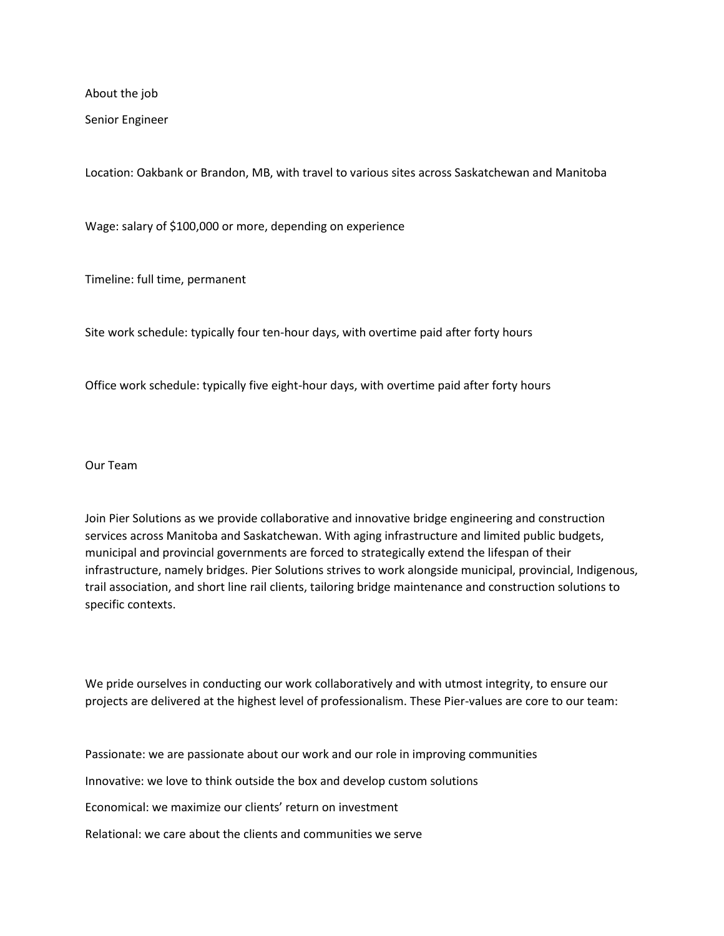About the job

Senior Engineer

Location: Oakbank or Brandon, MB, with travel to various sites across Saskatchewan and Manitoba

Wage: salary of \$100,000 or more, depending on experience

Timeline: full time, permanent

Site work schedule: typically four ten-hour days, with overtime paid after forty hours

Office work schedule: typically five eight-hour days, with overtime paid after forty hours

Our Team

Join Pier Solutions as we provide collaborative and innovative bridge engineering and construction services across Manitoba and Saskatchewan. With aging infrastructure and limited public budgets, municipal and provincial governments are forced to strategically extend the lifespan of their infrastructure, namely bridges. Pier Solutions strives to work alongside municipal, provincial, Indigenous, trail association, and short line rail clients, tailoring bridge maintenance and construction solutions to specific contexts.

We pride ourselves in conducting our work collaboratively and with utmost integrity, to ensure our projects are delivered at the highest level of professionalism. These Pier-values are core to our team:

Passionate: we are passionate about our work and our role in improving communities Innovative: we love to think outside the box and develop custom solutions Economical: we maximize our clients' return on investment Relational: we care about the clients and communities we serve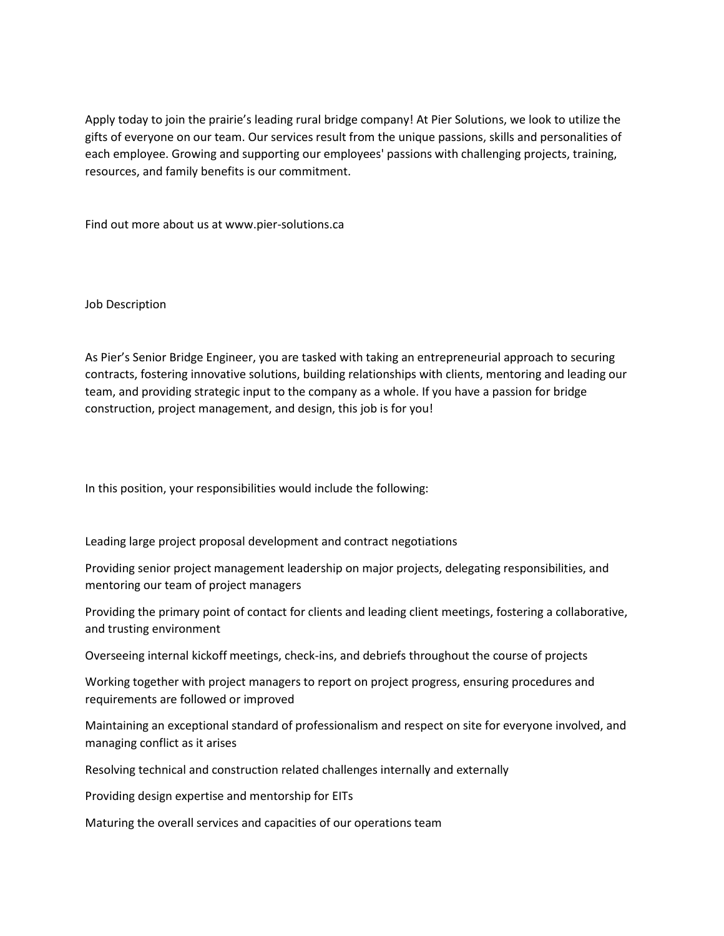Apply today to join the prairie's leading rural bridge company! At Pier Solutions, we look to utilize the gifts of everyone on our team. Our services result from the unique passions, skills and personalities of each employee. Growing and supporting our employees' passions with challenging projects, training, resources, and family benefits is our commitment.

Find out more about us at www.pier-solutions.ca

Job Description

As Pier's Senior Bridge Engineer, you are tasked with taking an entrepreneurial approach to securing contracts, fostering innovative solutions, building relationships with clients, mentoring and leading our team, and providing strategic input to the company as a whole. If you have a passion for bridge construction, project management, and design, this job is for you!

In this position, your responsibilities would include the following:

Leading large project proposal development and contract negotiations

Providing senior project management leadership on major projects, delegating responsibilities, and mentoring our team of project managers

Providing the primary point of contact for clients and leading client meetings, fostering a collaborative, and trusting environment

Overseeing internal kickoff meetings, check-ins, and debriefs throughout the course of projects

Working together with project managers to report on project progress, ensuring procedures and requirements are followed or improved

Maintaining an exceptional standard of professionalism and respect on site for everyone involved, and managing conflict as it arises

Resolving technical and construction related challenges internally and externally

Providing design expertise and mentorship for EITs

Maturing the overall services and capacities of our operations team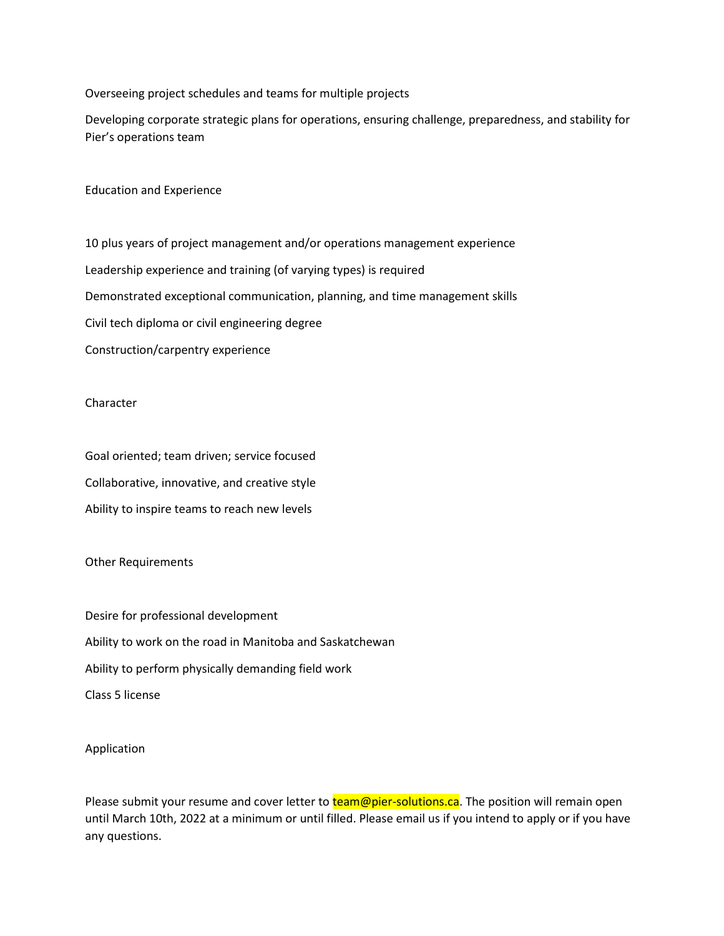Overseeing project schedules and teams for multiple projects

Developing corporate strategic plans for operations, ensuring challenge, preparedness, and stability for Pier's operations team

Education and Experience

10 plus years of project management and/or operations management experience Leadership experience and training (of varying types) is required Demonstrated exceptional communication, planning, and time management skills Civil tech diploma or civil engineering degree Construction/carpentry experience

## Character

Goal oriented; team driven; service focused Collaborative, innovative, and creative style Ability to inspire teams to reach new levels

## Other Requirements

Desire for professional development Ability to work on the road in Manitoba and Saskatchewan Ability to perform physically demanding field work Class 5 license

## Application

Please submit your resume and cover letter to **team@pier-solutions.ca**. The position will remain open until March 10th, 2022 at a minimum or until filled. Please email us if you intend to apply or if you have any questions.